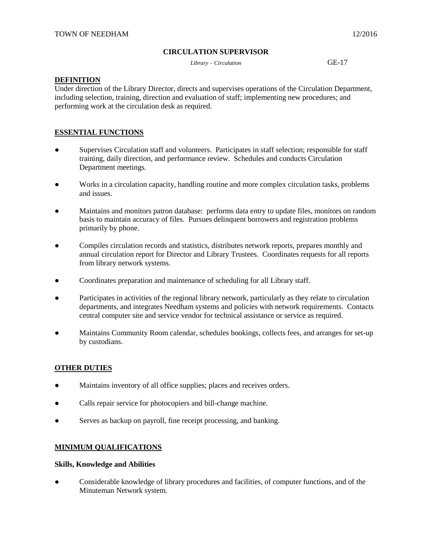#### **CIRCULATION SUPERVISOR**

*Library – Circulation* GE-17

#### **DEFINITION**

Under direction of the Library Director, directs and supervises operations of the Circulation Department, including selection, training, direction and evaluation of staff; implementing new procedures; and performing work at the circulation desk as required.

#### **ESSENTIAL FUNCTIONS**

- Supervises Circulation staff and volunteers. Participates in staff selection; responsible for staff training, daily direction, and performance review. Schedules and conducts Circulation Department meetings.
- Works in a circulation capacity, handling routine and more complex circulation tasks, problems and issues.
- Maintains and monitors patron database: performs data entry to update files, monitors on random basis to maintain accuracy of files. Pursues delinquent borrowers and registration problems primarily by phone.
- Compiles circulation records and statistics, distributes network reports, prepares monthly and annual circulation report for Director and Library Trustees. Coordinates requests for all reports from library network systems.
- Coordinates preparation and maintenance of scheduling for all Library staff.
- Participates in activities of the regional library network, particularly as they relate to circulation departments, and integrates Needham systems and policies with network requirements. Contacts central computer site and service vendor for technical assistance or service as required.
- Maintains Community Room calendar, schedules bookings, collects fees, and arranges for set-up by custodians.

## **OTHER DUTIES**

- Maintains inventory of all office supplies; places and receives orders.
- Calls repair service for photocopiers and bill-change machine.
- Serves as backup on payroll, fine receipt processing, and banking.

## **MINIMUM QUALIFICATIONS**

#### **Skills, Knowledge and Abilities**

Considerable knowledge of library procedures and facilities, of computer functions, and of the Minuteman Network system.